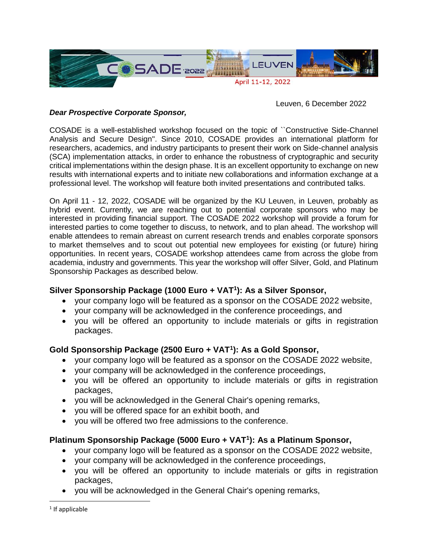

Leuven, 6 December 2022

## *Dear Prospective Corporate Sponsor,*

COSADE is a well-established workshop focused on the topic of ``Constructive Side-Channel Analysis and Secure Design''. Since 2010, COSADE provides an international platform for researchers, academics, and industry participants to present their work on Side-channel analysis (SCA) implementation attacks, in order to enhance the robustness of cryptographic and security critical implementations within the design phase. It is an excellent opportunity to exchange on new results with international experts and to initiate new collaborations and information exchange at a professional level. The workshop will feature both invited presentations and contributed talks.

On April 11 - 12, 2022, COSADE will be organized by the KU Leuven, in Leuven, probably as hybrid event. Currently, we are reaching out to potential corporate sponsors who may be interested in providing financial support. The COSADE 2022 workshop will provide a forum for interested parties to come together to discuss, to network, and to plan ahead. The workshop will enable attendees to remain abreast on current research trends and enables corporate sponsors to market themselves and to scout out potential new employees for existing (or future) hiring opportunities. In recent years, COSADE workshop attendees came from across the globe from academia, industry and governments. This year the workshop will offer Silver, Gold, and Platinum Sponsorship Packages as described below.

## **Silver Sponsorship Package (1000 Euro + VAT<sup>1</sup> ): As a Silver Sponsor,**

- your company logo will be featured as a sponsor on the COSADE 2022 website,
- your company will be acknowledged in the conference proceedings, and
- you will be offered an opportunity to include materials or gifts in registration packages.

## **Gold Sponsorship Package (2500 Euro + VAT<sup>1</sup> ): As a Gold Sponsor,**

- your company logo will be featured as a sponsor on the COSADE 2022 website,
- your company will be acknowledged in the conference proceedings,
- you will be offered an opportunity to include materials or gifts in registration packages,
- you will be acknowledged in the General Chair's opening remarks,
- you will be offered space for an exhibit booth, and
- you will be offered two free admissions to the conference.

## **Platinum Sponsorship Package (5000 Euro + VAT<sup>1</sup> ): As a Platinum Sponsor,**

- your company logo will be featured as a sponsor on the COSADE 2022 website,
- vour company will be acknowledged in the conference proceedings,
- you will be offered an opportunity to include materials or gifts in registration packages,
- you will be acknowledged in the General Chair's opening remarks,

 $\overline{a}$ 

<sup>&</sup>lt;sup>1</sup> If applicable